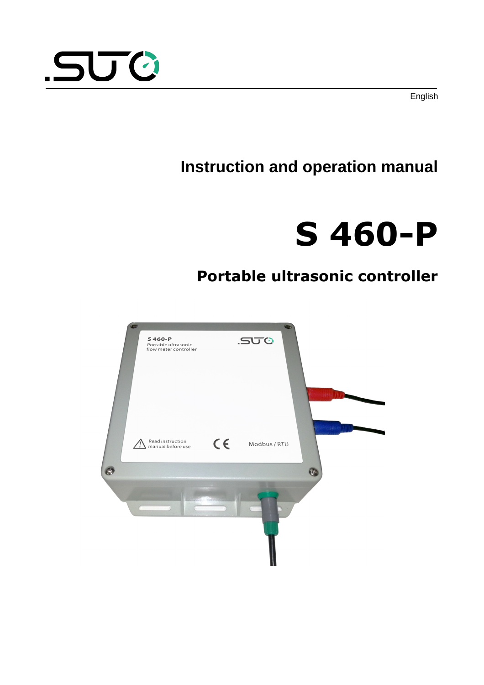



# <span id="page-0-0"></span>**S 460-P**

# **Portable ultrasonic controller**



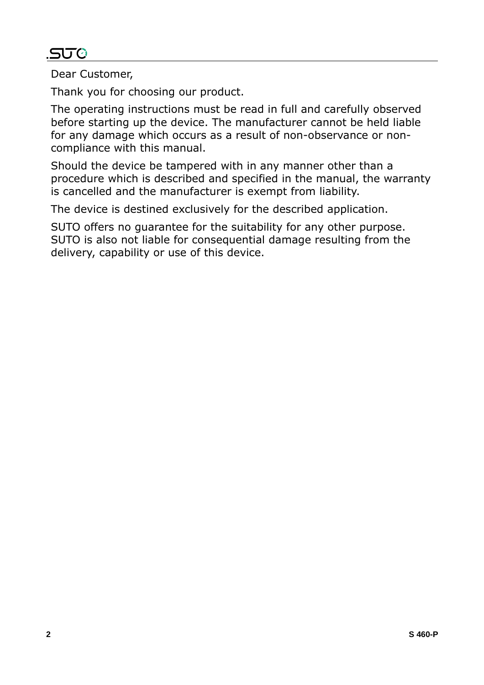# .SUC

Dear Customer,

Thank you for choosing our product.

The operating instructions must be read in full and carefully observed before starting up the device. The manufacturer cannot be held liable for any damage which occurs as a result of non-observance or noncompliance with this manual.

Should the device be tampered with in any manner other than a procedure which is described and specified in the manual, the warranty is cancelled and the manufacturer is exempt from liability.

The device is destined exclusively for the described application.

SUTO offers no guarantee for the suitability for any other purpose. SUTO is also not liable for consequential damage resulting from the delivery, capability or use of this device.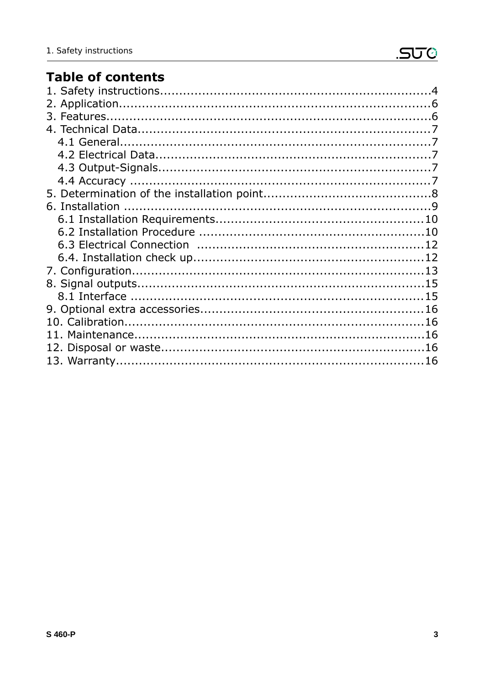# **Table of contents**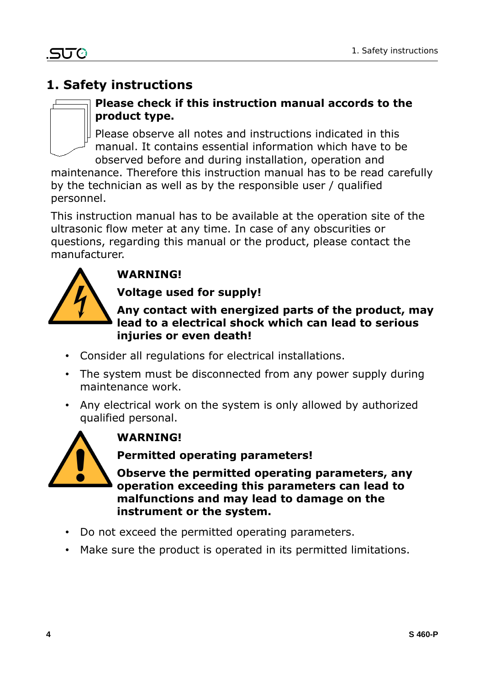# **1. Safety instructions**



#### **Please check if this instruction manual accords to the product type.**

Please observe all notes and instructions indicated in this manual. It contains essential information which have to be observed before and during installation, operation and

maintenance. Therefore this instruction manual has to be read carefully by the technician as well as by the responsible user / qualified personnel.

This instruction manual has to be available at the operation site of the ultrasonic flow meter at any time. In case of any obscurities or questions, regarding this manual or the product, please contact the manufacturer.



# **WARNING!**

#### **Voltage used for supply!**

#### **Any contact with energized parts of the product, may lead to a electrical shock which can lead to serious injuries or even death!**

- Consider all regulations for electrical installations.
- The system must be disconnected from any power supply during maintenance work.
- Any electrical work on the system is only allowed by authorized qualified personal.



# **WARNING!**

**Permitted operating parameters!**

**Observe the permitted operating parameters, any operation exceeding this parameters can lead to malfunctions and may lead to damage on the instrument or the system.**

- Do not exceed the permitted operating parameters.
- Make sure the product is operated in its permitted limitations.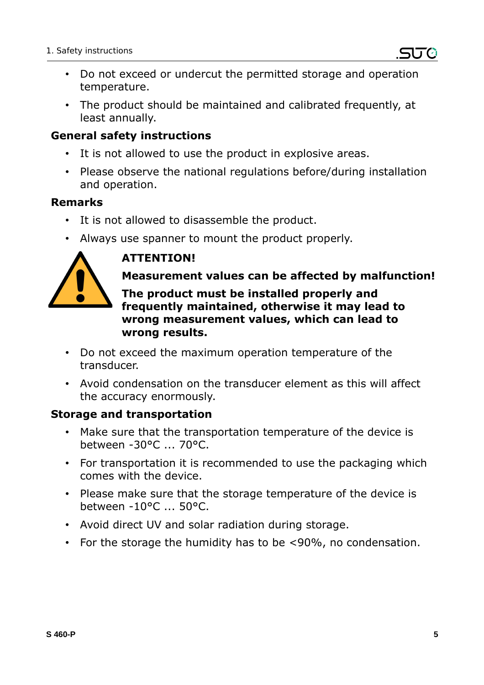- Do not exceed or undercut the permitted storage and operation temperature.
- The product should be maintained and calibrated frequently, at least annually.

#### **General safety instructions**

- It is not allowed to use the product in explosive areas.
- Please observe the national regulations before/during installation and operation.

#### **Remarks**

- It is not allowed to disassemble the product.
- Always use spanner to mount the product properly.



# **ATTENTION!**

#### **Measurement values can be affected by malfunction!**

**The product must be installed properly and frequently maintained, otherwise it may lead to wrong measurement values, which can lead to wrong results.**

- Do not exceed the maximum operation temperature of the transducer.
- Avoid condensation on the transducer element as this will affect the accuracy enormously.

#### **Storage and transportation**

- Make sure that the transportation temperature of the device is between -30°C ... 70°C.
- For transportation it is recommended to use the packaging which comes with the device.
- Please make sure that the storage temperature of the device is between -10°C ... 50°C.
- Avoid direct UV and solar radiation during storage.
- For the storage the humidity has to be <90%, no condensation.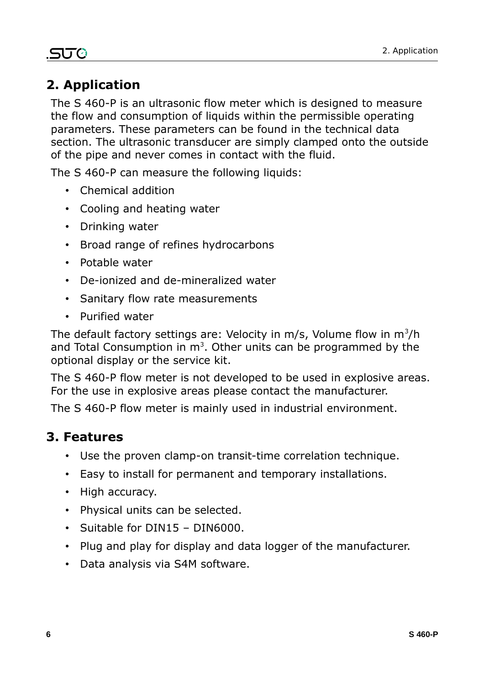# .SU0

# **2. Application**

The S 460-P is an ultrasonic flow meter which is designed to measure the flow and consumption of liquids within the permissible operating parameters. These parameters can be found in the technical data section. The ultrasonic transducer are simply clamped onto the outside of the pipe and never comes in contact with the fluid.

The S 460-P can measure the following liquids:

- Chemical addition
- Cooling and heating water
- Drinking water
- Broad range of refines hydrocarbons
- Potable water
- De-ionized and de-mineralized water
- Sanitary flow rate measurements
- Purified water

The default factory settings are: Velocity in m/s, Volume flow in  $m^3/h$ and Total Consumption in  $m<sup>3</sup>$ . Other units can be programmed by the optional display or the service kit.

The S 460-P flow meter is not developed to be used in explosive areas. For the use in explosive areas please contact the manufacturer.

The S 460-P flow meter is mainly used in industrial environment.

#### **3. Features**

- Use the proven clamp-on transit-time correlation technique.
- Easy to install for permanent and temporary installations.
- High accuracy.
- Physical units can be selected.
- Suitable for DIN15 DIN6000.
- Plug and play for display and data logger of the manufacturer.
- Data analysis via S4M software.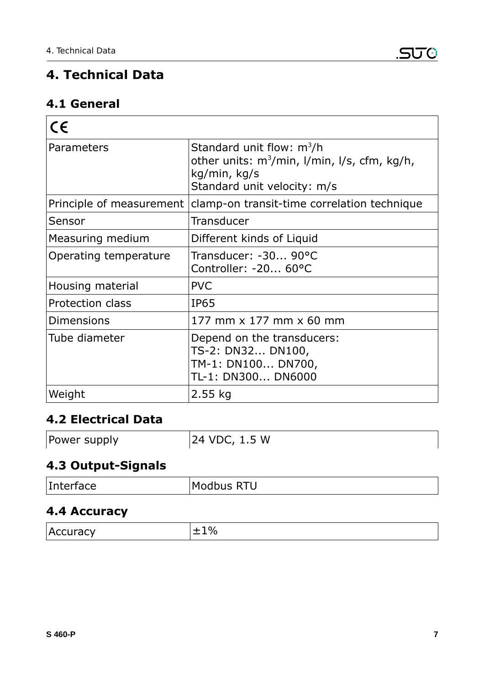# **4. Technical Data**

# **4.1 General**

| $\epsilon$               |                                                                                                                                     |
|--------------------------|-------------------------------------------------------------------------------------------------------------------------------------|
| Parameters               | Standard unit flow: $m^3/h$<br>other units: $m^3/m$ in, $l/m$ in, $l/s$ , cfm, kg/h,<br>kg/min, kg/s<br>Standard unit velocity: m/s |
| Principle of measurement | clamp-on transit-time correlation technique                                                                                         |
| Sensor                   | Transducer                                                                                                                          |
| Measuring medium         | Different kinds of Liquid                                                                                                           |
| Operating temperature    | Transducer: -30 90°C<br>Controller: -20 60°C                                                                                        |
| Housing material         | <b>PVC</b>                                                                                                                          |
| <b>Protection class</b>  | <b>IP65</b>                                                                                                                         |
| <b>Dimensions</b>        | 177 mm x 177 mm x 60 mm                                                                                                             |
| Tube diameter            | Depend on the transducers:<br>TS-2: DN32 DN100,<br>TM-1: DN100 DN700,<br>TL-1: DN300 DN6000                                         |
| Weight                   | $2.55$ kg                                                                                                                           |

# **4.2 Electrical Data**

| 24 VDC, 1.5 W<br>Power supply |  |
|-------------------------------|--|
|-------------------------------|--|

# **4.3 Output-Signals**

| Interface | м.<br>$\sim$ 100000 $\sim$ 1110 |
|-----------|---------------------------------|
|           |                                 |

#### **4.4 Accuracy**

| ∽<br>$\overline{\phantom{a}}$ |
|-------------------------------|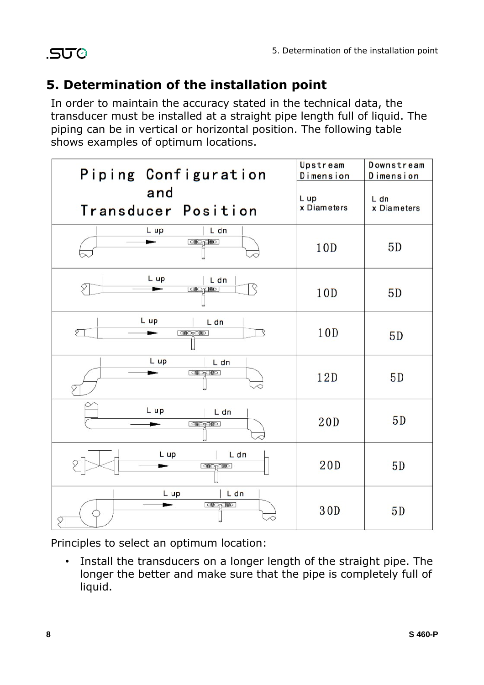# **5. Determination of the installation point**

In order to maintain the accuracy stated in the technical data, the transducer must be installed at a straight pipe length full of liquid. The piping can be in vertical or horizontal position. The following table shows examples of optimum locations.

| Piping Configuration                     | Upstream<br>Dimension | Downstream<br>Dimension |
|------------------------------------------|-----------------------|-------------------------|
| and<br>Transducer Position               | L up<br>x Diameters   | L dn<br>x Diameters     |
| L dn<br>L up<br>[copydo]                 | 10 <sub>D</sub>       | 5D                      |
| L up<br>L dn<br><b>co</b> >pc   @ 0 ]    | 10D                   | 5D                      |
| L up<br>L dn<br>Ţ<br>ঽ<br><b>CODACOD</b> | 10D                   | 5D                      |
| L up<br>L dn<br><b>ে®ি∩ে®ি</b>           | 12D                   | 5D                      |
| L up<br>L dn<br><b>CODACO</b>            | 20D                   | 5D                      |
| L dn<br>L up<br><b>COPYCOD</b>           | 20D                   | 5D                      |
| L dn<br>L up<br><b>CODA COD</b><br>Į     | 30D                   | 5D                      |

Principles to select an optimum location:

• Install the transducers on a longer length of the straight pipe. The longer the better and make sure that the pipe is completely full of liquid.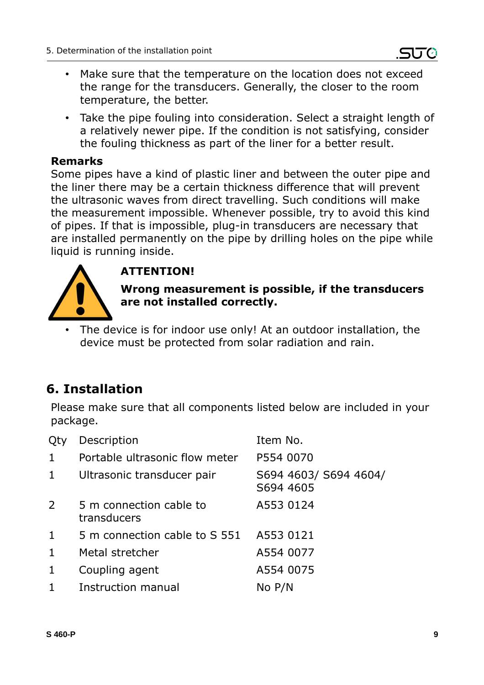- Make sure that the temperature on the location does not exceed the range for the transducers. Generally, the closer to the room temperature, the better.
- Take the pipe fouling into consideration. Select a straight length of a relatively newer pipe. If the condition is not satisfying, consider the fouling thickness as part of the liner for a better result.

#### **Remarks**

Some pipes have a kind of plastic liner and between the outer pipe and the liner there may be a certain thickness difference that will prevent the ultrasonic waves from direct travelling. Such conditions will make the measurement impossible. Whenever possible, try to avoid this kind of pipes. If that is impossible, plug-in transducers are necessary that are installed permanently on the pipe by drilling holes on the pipe while liquid is running inside.



#### **ATTENTION!**

**Wrong measurement is possible, if the transducers are not installed correctly.**

The device is for indoor use only! At an outdoor installation, the device must be protected from solar radiation and rain.

# **6. Installation**

Please make sure that all components listed below are included in your package.

| Qty            | Description                            | Item No.                           |
|----------------|----------------------------------------|------------------------------------|
| $\mathbf{1}$   | Portable ultrasonic flow meter         | P554 0070                          |
| $\mathbf{1}$   | Ultrasonic transducer pair             | S694 4603/ S694 4604/<br>S694 4605 |
| $\overline{2}$ | 5 m connection cable to<br>transducers | A553 0124                          |
| $\mathbf{1}$   | 5 m connection cable to S 551          | A553 0121                          |
| $\mathbf{1}$   | Metal stretcher                        | A554 0077                          |
| 1              | Coupling agent                         | A554 0075                          |
| $\mathbf{1}$   | Instruction manual                     | No P/N                             |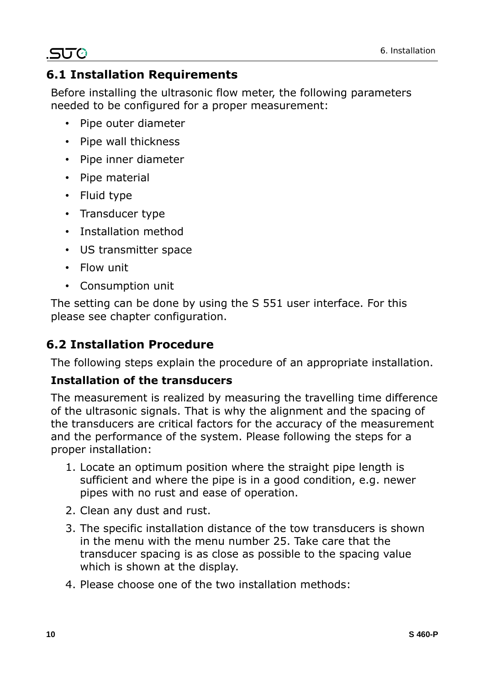# .SUC

# **6.1 Installation Requirements**

Before installing the ultrasonic flow meter, the following parameters needed to be configured for a proper measurement:

- Pipe outer diameter
- Pipe wall thickness
- Pipe inner diameter
- Pipe material
- Fluid type
- Transducer type
- Installation method
- US transmitter space
- Flow unit
- Consumption unit

The setting can be done by using the S 551 user interface. For this please see chapter configuration.

# **6.2 Installation Procedure**

The following steps explain the procedure of an appropriate installation.

#### **Installation of the transducers**

The measurement is realized by measuring the travelling time difference of the ultrasonic signals. That is why the alignment and the spacing of the transducers are critical factors for the accuracy of the measurement and the performance of the system. Please following the steps for a proper installation:

- 1. Locate an optimum position where the straight pipe length is sufficient and where the pipe is in a good condition, e.g. newer pipes with no rust and ease of operation.
- 2. Clean any dust and rust.
- 3. The specific installation distance of the tow transducers is shown in the menu with the menu number 25. Take care that the transducer spacing is as close as possible to the spacing value which is shown at the display.
- 4. Please choose one of the two installation methods: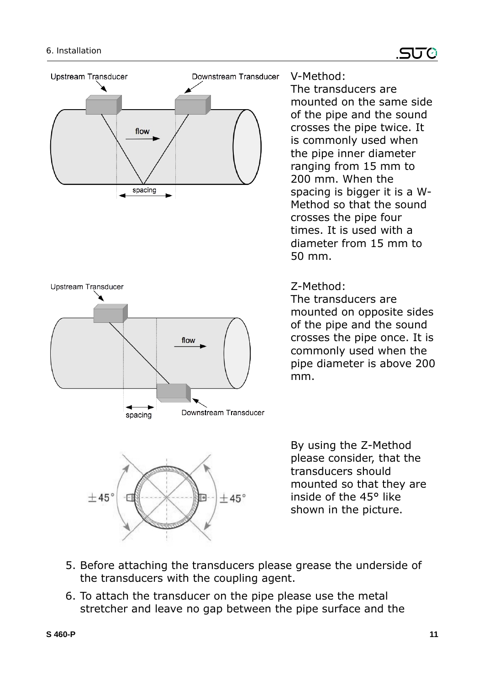



#### V-Method:

The transducers are mounted on the same side of the pipe and the sound crosses the pipe twice. It is commonly used when the pipe inner diameter ranging from 15 mm to 200 mm. When the spacing is bigger it is a W-Method so that the sound crosses the pipe four times. It is used with a diameter from 15 mm to 50 mm.

#### Z-Method:

The transducers are mounted on opposite sides of the pipe and the sound crosses the pipe once. It is commonly used when the pipe diameter is above 200 mm.



By using the Z-Method please consider, that the transducers should mounted so that they are inside of the 45° like shown in the picture.

- 5. Before attaching the transducers please grease the underside of the transducers with the coupling agent.
- 6. To attach the transducer on the pipe please use the metal stretcher and leave no gap between the pipe surface and the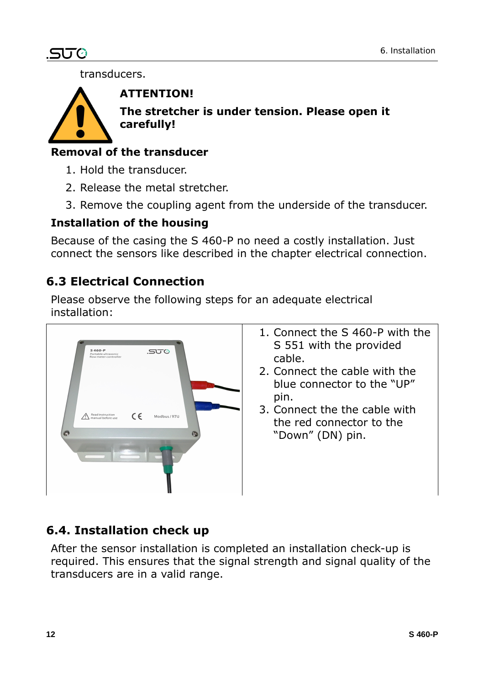# .SUC

transducers.



#### **ATTENTION!**

**The stretcher is under tension. Please open it carefully!**

# **Removal of the transducer**

- 1. Hold the transducer.
- 2. Release the metal stretcher.
- 3. Remove the coupling agent from the underside of the transducer.

#### **Installation of the housing**

Because of the casing the S 460-P no need a costly installation. Just connect the sensors like described in the chapter electrical connection.

# **6.3 Electrical Connection**

Please observe the following steps for an adequate electrical installation:



- 1. Connect the S 460-P with the S 551 with the provided cable.
- 2. Connect the cable with the blue connector to the "UP" pin.
- 3. Connect the the cable with the red connector to the "Down" (DN) pin.

# **6.4. Installation check up**

After the sensor installation is completed an installation check-up is required. This ensures that the signal strength and signal quality of the transducers are in a valid range.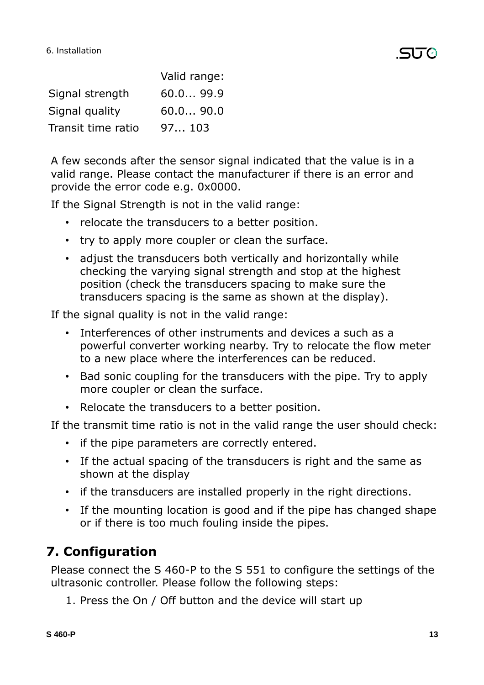|                    | Valid range: |
|--------------------|--------------|
| Signal strength    | 60.099.9     |
| Signal quality     | 60.090.0     |
| Transit time ratio | 97103        |

A few seconds after the sensor signal indicated that the value is in a valid range. Please contact the manufacturer if there is an error and provide the error code e.g. 0x0000.

If the Signal Strength is not in the valid range:

- relocate the transducers to a better position.
- try to apply more coupler or clean the surface.
- adjust the transducers both vertically and horizontally while checking the varying signal strength and stop at the highest position (check the transducers spacing to make sure the transducers spacing is the same as shown at the display).

If the signal quality is not in the valid range:

- Interferences of other instruments and devices a such as a powerful converter working nearby. Try to relocate the flow meter to a new place where the interferences can be reduced.
- Bad sonic coupling for the transducers with the pipe. Try to apply more coupler or clean the surface.
- Relocate the transducers to a better position.

If the transmit time ratio is not in the valid range the user should check:

- if the pipe parameters are correctly entered.
- If the actual spacing of the transducers is right and the same as shown at the display
- if the transducers are installed properly in the right directions.
- If the mounting location is good and if the pipe has changed shape or if there is too much fouling inside the pipes.

# **7. Configuration**

Please connect the S 460-P to the S 551 to configure the settings of the ultrasonic controller. Please follow the following steps:

1. Press the On / Off button and the device will start up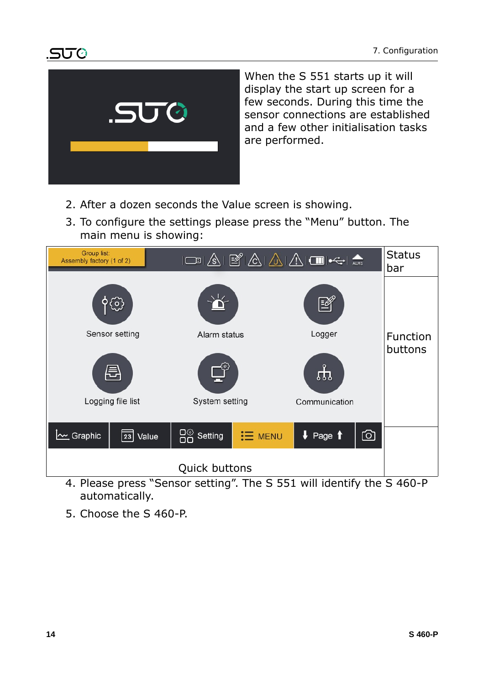

When the S 551 starts up it will display the start up screen for a few seconds. During this time the sensor connections are established and a few other initialisation tasks are performed.

- 2. After a dozen seconds the Value screen is showing.
- 3. To configure the settings please press the "Menu" button. The main menu is showing:



- 4. Please press "Sensor setting". The S 551 will identify the S 460-P automatically.
- 5. Choose the S 460-P.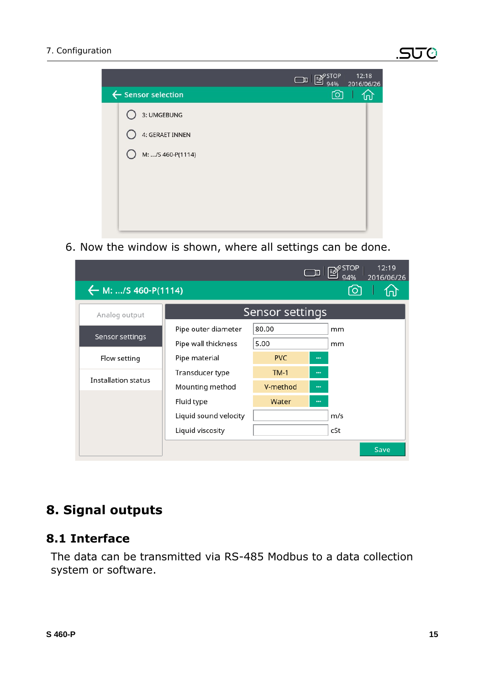

6. Now the window is shown, where all settings can be done.

|                                      |                       |            | 〔 囗      |     | 12:19<br>2016/06/26 |
|--------------------------------------|-----------------------|------------|----------|-----|---------------------|
| $\leftarrow$ M: /S 460-P(1114)<br>Гo |                       |            |          |     |                     |
| Analog output                        | Sensor settings       |            |          |     |                     |
|                                      | Pipe outer diameter   | 80.00      |          | mm  |                     |
| Sensor settings                      | Pipe wall thickness   | 5.00       |          | mm  |                     |
| Flow setting                         | Pipe material         | <b>PVC</b> | $\cdots$ |     |                     |
| <b>Installation status</b>           | Transducer type       | $TM-1$     |          |     |                     |
|                                      | Mounting method       | V-method   | $\cdots$ |     |                     |
|                                      | Fluid type            | Water      | $\cdots$ |     |                     |
|                                      | Liquid sound velocity |            |          | m/s |                     |
|                                      | Liquid viscosity      |            |          | cSt |                     |
|                                      |                       |            |          |     | Save                |

# **8. Signal outputs**

#### **8.1 Interface**

The data can be transmitted via RS-485 Modbus to a data collection system or software.

30 Q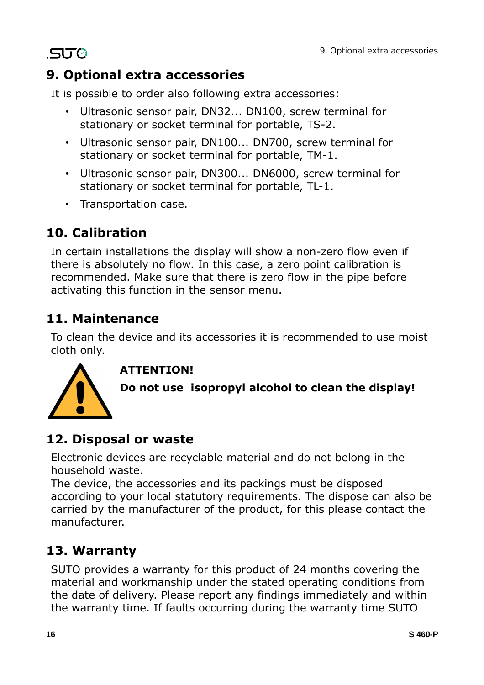# **9. Optional extra accessories**

It is possible to order also following extra accessories:

- Ultrasonic sensor pair, DN32... DN100, screw terminal for stationary or socket terminal for portable, TS-2.
- Ultrasonic sensor pair, DN100... DN700, screw terminal for stationary or socket terminal for portable, TM-1.
- Ultrasonic sensor pair, DN300... DN6000, screw terminal for stationary or socket terminal for portable, TL-1.
- Transportation case.

# **10. Calibration**

.SUC

In certain installations the display will show a non-zero flow even if there is absolutely no flow. In this case, a zero point calibration is recommended. Make sure that there is zero flow in the pipe before activating this function in the sensor menu.

# **11. Maintenance**

To clean the device and its accessories it is recommended to use moist cloth only.

#### **ATTENTION!**



**Do not use isopropyl alcohol to clean the display!**

# **12. Disposal or waste**

Electronic devices are recyclable material and do not belong in the household waste.

The device, the accessories and its packings must be disposed according to your local statutory requirements. The dispose can also be carried by the manufacturer of the product, for this please contact the manufacturer.

# **13. Warranty**

SUTO provides a warranty for this product of 24 months covering the material and workmanship under the stated operating conditions from the date of delivery. Please report any findings immediately and within the warranty time. If faults occurring during the warranty time SUTO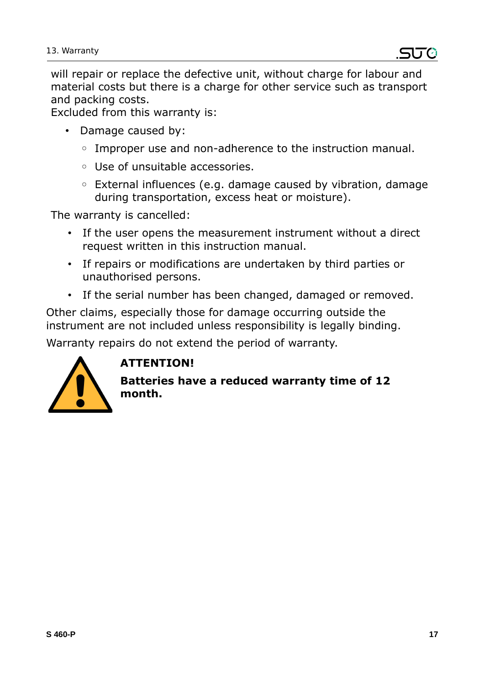will repair or replace the defective unit, without charge for labour and material costs but there is a charge for other service such as transport and packing costs.

Excluded from this warranty is:

- Damage caused by:
	- Improper use and non-adherence to the instruction manual.
	- Use of unsuitable accessories.
	- External influences (e.g. damage caused by vibration, damage during transportation, excess heat or moisture).

The warranty is cancelled:

- If the user opens the measurement instrument without a direct request written in this instruction manual.
- If repairs or modifications are undertaken by third parties or unauthorised persons.
- If the serial number has been changed, damaged or removed.

Other claims, especially those for damage occurring outside the instrument are not included unless responsibility is legally binding.

Warranty repairs do not extend the period of warranty.



# **ATTENTION!**

**Batteries have a reduced warranty time of 12 month.**